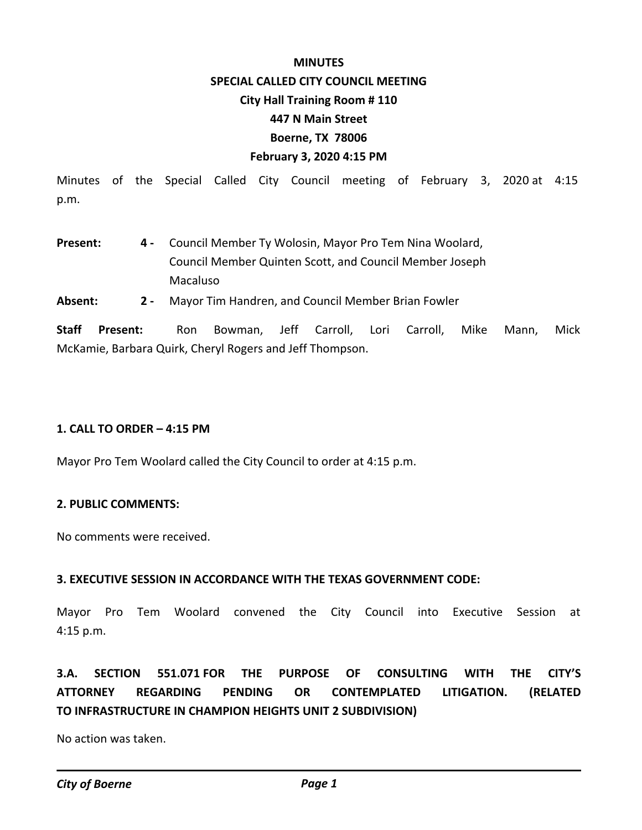#### **MINUTES**

### **SPECIAL CALLED CITY COUNCIL MEETING**

#### **City Hall Training Room # 110**

## **447 N Main Street**

# **Boerne, TX 78006**

# **February 3, 2020 4:15 PM**

Minutes of the Special Called City Council meeting of February 3, 2020 at 4:15 p.m.

- Council Member Ty Wolosin, Mayor Pro Tem Nina Woolard, Council Member Quinten Scott, and Council Member Joseph Macaluso **Present: 4 -**
- **Absent: 2** Mayor Tim Handren, and Council Member Brian Fowler

**Staff Present:** Ron Bowman, Jeff Carroll, Lori Carroll, Mike Mann, Mick McKamie, Barbara Quirk, Cheryl Rogers and Jeff Thompson.

# **1. CALL TO ORDER – 4:15 PM**

Mayor Pro Tem Woolard called the City Council to order at 4:15 p.m.

## **2. PUBLIC COMMENTS:**

No comments were received.

# **3. EXECUTIVE SESSION IN ACCORDANCE WITH THE TEXAS GOVERNMENT CODE:**

Mayor Pro Tem Woolard convened the City Council into Executive Session at 4:15 p.m.

**3.A. SECTION 551.071 FOR THE PURPOSE OF CONSULTING WITH THE CITY'S ATTORNEY REGARDING PENDING OR CONTEMPLATED LITIGATION. (RELATED TO INFRASTRUCTURE IN CHAMPION HEIGHTS UNIT 2 SUBDIVISION)**

No action was taken.